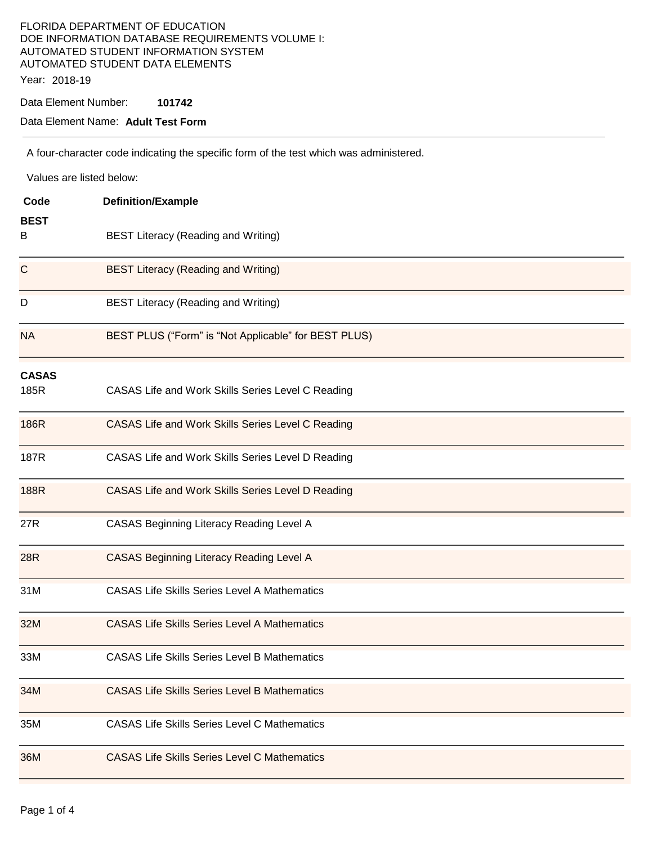### FLORIDA DEPARTMENT OF EDUCATION DOE INFORMATION DATABASE REQUIREMENTS VOLUME I: AUTOMATED STUDENT INFORMATION SYSTEM AUTOMATED STUDENT DATA ELEMENTS Year: 2018-19

Data Element Number: **101742** 

### Data Element Name: **Adult Test Form**

A four-character code indicating the specific form of the test which was administered.

| Values are listed below: |                                                      |  |  |  |
|--------------------------|------------------------------------------------------|--|--|--|
| Code                     | <b>Definition/Example</b>                            |  |  |  |
| <b>BEST</b><br>B         | <b>BEST Literacy (Reading and Writing)</b>           |  |  |  |
| C                        | <b>BEST Literacy (Reading and Writing)</b>           |  |  |  |
| D                        | <b>BEST Literacy (Reading and Writing)</b>           |  |  |  |
| <b>NA</b>                | BEST PLUS ("Form" is "Not Applicable" for BEST PLUS) |  |  |  |
| <b>CASAS</b><br>185R     | CASAS Life and Work Skills Series Level C Reading    |  |  |  |
| 186R                     | CASAS Life and Work Skills Series Level C Reading    |  |  |  |
| 187R                     | CASAS Life and Work Skills Series Level D Reading    |  |  |  |
| 188R                     | CASAS Life and Work Skills Series Level D Reading    |  |  |  |
| 27R                      | CASAS Beginning Literacy Reading Level A             |  |  |  |
| 28R                      | <b>CASAS Beginning Literacy Reading Level A</b>      |  |  |  |
| 31M                      | <b>CASAS Life Skills Series Level A Mathematics</b>  |  |  |  |
| 32M                      | <b>CASAS Life Skills Series Level A Mathematics</b>  |  |  |  |
| 33M                      | <b>CASAS Life Skills Series Level B Mathematics</b>  |  |  |  |
| 34M                      | <b>CASAS Life Skills Series Level B Mathematics</b>  |  |  |  |
| 35M                      | <b>CASAS Life Skills Series Level C Mathematics</b>  |  |  |  |
| 36M                      | <b>CASAS Life Skills Series Level C Mathematics</b>  |  |  |  |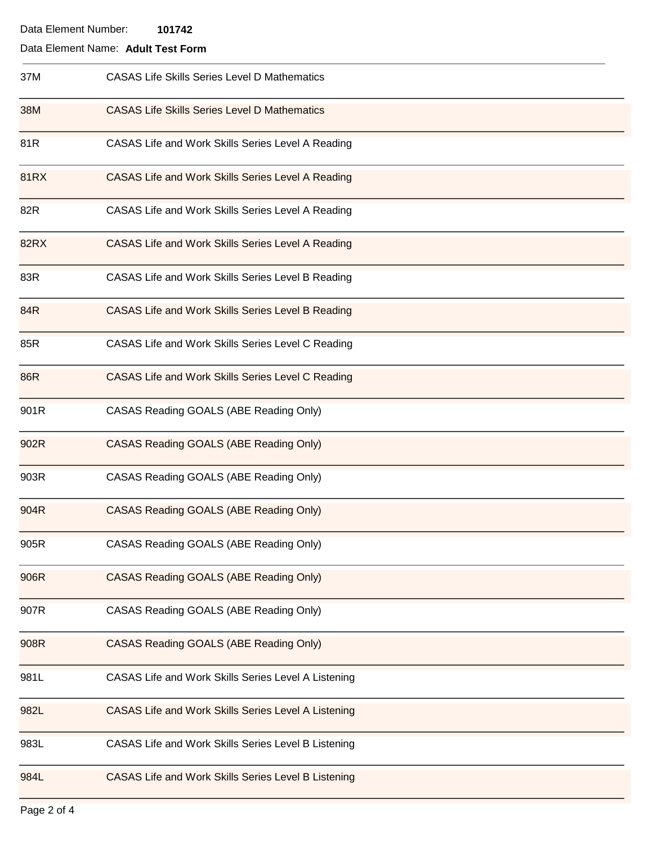# Data Element Name: **Adult Test Form**

| 37M         | <b>CASAS Life Skills Series Level D Mathematics</b>      |
|-------------|----------------------------------------------------------|
| 38M         | <b>CASAS Life Skills Series Level D Mathematics</b>      |
| 81R         | CASAS Life and Work Skills Series Level A Reading        |
| <b>81RX</b> | CASAS Life and Work Skills Series Level A Reading        |
| 82R         | CASAS Life and Work Skills Series Level A Reading        |
| 82RX        | <b>CASAS Life and Work Skills Series Level A Reading</b> |
| 83R         | CASAS Life and Work Skills Series Level B Reading        |
| 84R         | CASAS Life and Work Skills Series Level B Reading        |
| 85R         | CASAS Life and Work Skills Series Level C Reading        |
| 86R         | CASAS Life and Work Skills Series Level C Reading        |
| 901R        | CASAS Reading GOALS (ABE Reading Only)                   |
| 902R        | <b>CASAS Reading GOALS (ABE Reading Only)</b>            |
| 903R        | CASAS Reading GOALS (ABE Reading Only)                   |
| 904R        | CASAS Reading GOALS (ABE Reading Only)                   |
| 905R        | CASAS Reading GOALS (ABE Reading Only)                   |
| 906R        | CASAS Reading GOALS (ABE Reading Only)                   |
| 907R        | CASAS Reading GOALS (ABE Reading Only)                   |
| 908R        | <b>CASAS Reading GOALS (ABE Reading Only)</b>            |
| 981L        | CASAS Life and Work Skills Series Level A Listening      |
| 982L        | CASAS Life and Work Skills Series Level A Listening      |
| 983L        | CASAS Life and Work Skills Series Level B Listening      |
| 984L        | CASAS Life and Work Skills Series Level B Listening      |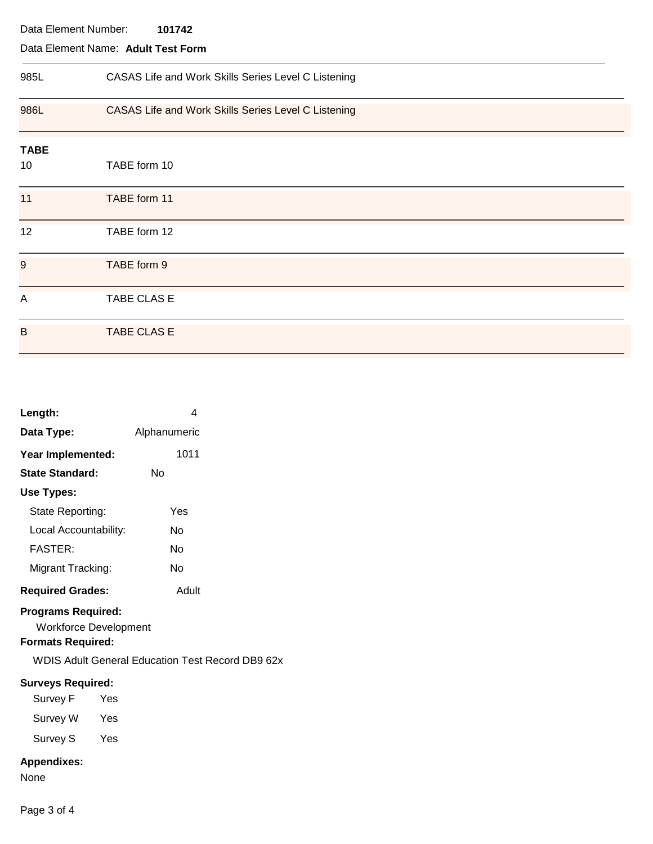| Data Element Number:<br>101742     |                                                     |  |  |  |
|------------------------------------|-----------------------------------------------------|--|--|--|
| Data Element Name: Adult Test Form |                                                     |  |  |  |
| 985L                               | CASAS Life and Work Skills Series Level C Listening |  |  |  |
| 986L                               | CASAS Life and Work Skills Series Level C Listening |  |  |  |
| <b>TABE</b><br>10                  | TABE form 10                                        |  |  |  |
| 11                                 | TABE form 11                                        |  |  |  |
| 12                                 | TABE form 12                                        |  |  |  |
| 9                                  | TABE form 9                                         |  |  |  |
| $\overline{A}$                     | TABE CLAS E                                         |  |  |  |
| B                                  | <b>TABE CLAS E</b>                                  |  |  |  |

| Length:                 | 4            |
|-------------------------|--------------|
| Data Type:              | Alphanumeric |
| Year Implemented:       | 1011         |
| State Standard:         | N٥           |
| Use Types:              |              |
| State Reporting:        | Yes          |
| Local Accountability:   | N٥           |
| <b>FASTER:</b>          | N٥           |
| Migrant Tracking:       | N٥           |
| <b>Required Grades:</b> | Adult        |

# **Programs Required:**

Workforce Development

# **Formats Required:**

WDIS Adult General Education Test Record DB9 62x

# **Surveys Required:**

Survey F Yes Survey W Yes Survey S Yes

## **Appendixes:**

None